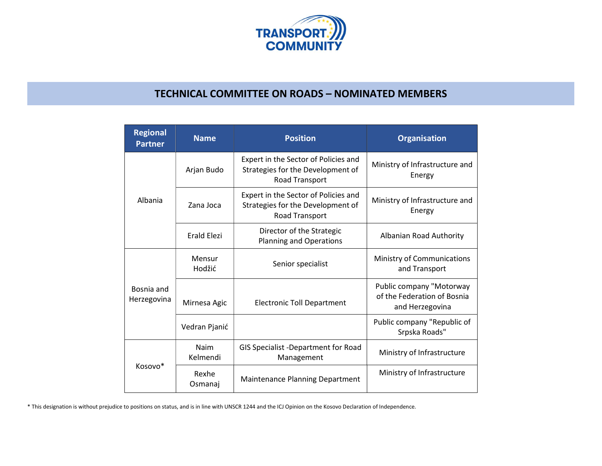

## TECHNICAL COMMITTEE ON ROADS – NOMINATED MEMBERS

| <b>Regional</b><br><b>Partner</b> | <b>Name</b>        | <b>Position</b>                                                                             | <b>Organisation</b>                                                        |
|-----------------------------------|--------------------|---------------------------------------------------------------------------------------------|----------------------------------------------------------------------------|
| Albania                           | Arjan Budo         | Expert in the Sector of Policies and<br>Strategies for the Development of<br>Road Transport | Ministry of Infrastructure and<br>Energy                                   |
|                                   | Zana Joca          | Expert in the Sector of Policies and<br>Strategies for the Development of<br>Road Transport | Ministry of Infrastructure and<br>Energy                                   |
|                                   | <b>Erald Elezi</b> | Director of the Strategic<br>Planning and Operations                                        | Albanian Road Authority                                                    |
| Bosnia and<br>Herzegovina         | Mensur<br>Hodžić   | Senior specialist                                                                           | Ministry of Communications<br>and Transport                                |
|                                   | Mirnesa Agic       | <b>Electronic Toll Department</b>                                                           | Public company "Motorway<br>of the Federation of Bosnia<br>and Herzegovina |
|                                   | Vedran Pjanić      |                                                                                             | Public company "Republic of<br>Srpska Roads"                               |
| Kosovo*                           | Naim<br>Kelmendi   | GIS Specialist -Department for Road<br>Management                                           | Ministry of Infrastructure                                                 |
|                                   | Rexhe<br>Osmanaj   | Maintenance Planning Department                                                             | Ministry of Infrastructure                                                 |

\* This designation is without prejudice to positions on status, and is in line with UNSCR 1244 and the ICJ Opinion on the Kosovo Declaration of Independence.